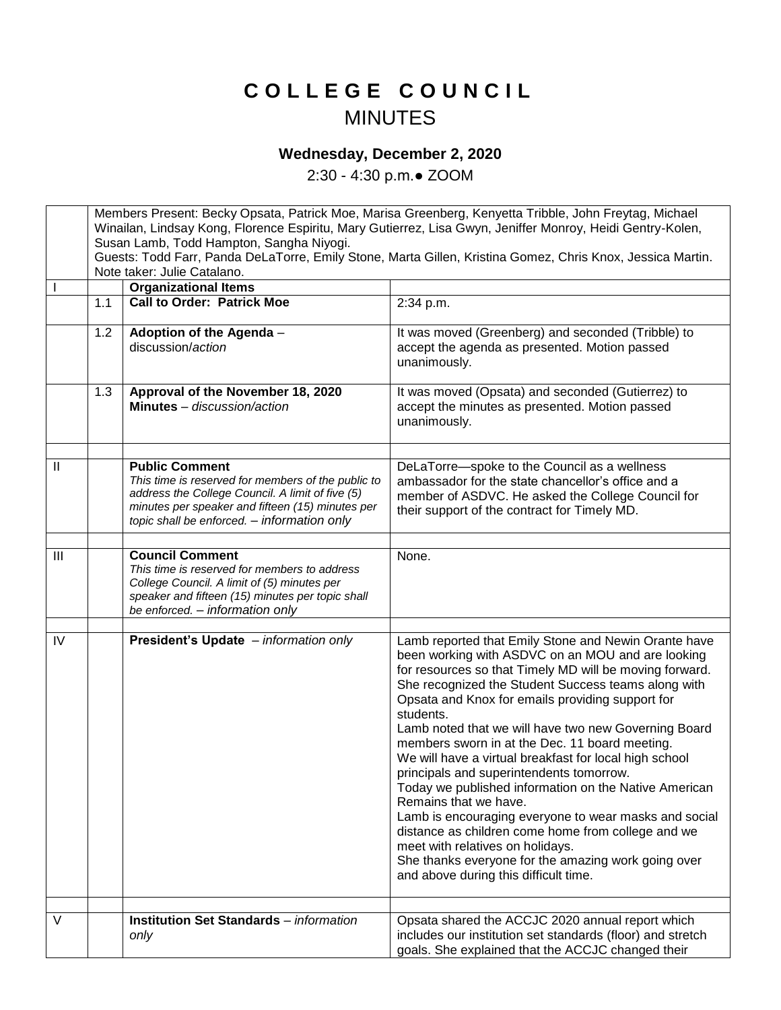## **C O L L E G E C O U N C I L** MINUTES

## **Wednesday, December 2, 2020**

2:30 - 4:30 p.m.● ZOOM

Members Present: Becky Opsata, Patrick Moe, Marisa Greenberg, Kenyetta Tribble, John Freytag, Michael Winailan, Lindsay Kong, Florence Espiritu, Mary Gutierrez, Lisa Gwyn, Jeniffer Monroy, Heidi Gentry-Kolen, Susan Lamb, Todd Hampton, Sangha Niyogi. Guests: Todd Farr, Panda DeLaTorre, Emily Stone, Marta Gillen, Kristina Gomez, Chris Knox, Jessica Martin. Note taker: Julie Catalano. I **Organizational Items** 1.1 **Call to Order: Patrick Moe** 2:34 p.m. 1.2 **Adoption of the Agenda** – discussion/*action* It was moved (Greenberg) and seconded (Tribble) to accept the agenda as presented. Motion passed unanimously. 1.3 **Approval of the November 18, 2020 Minutes** *– discussion/action* It was moved (Opsata) and seconded (Gutierrez) to accept the minutes as presented. Motion passed unanimously. II **Public Comment** *This time is reserved for members of the public to address the College Council. A limit of five (5) minutes per speaker and fifteen (15) minutes per topic shall be enforced. – information only* DeLaTorre—spoke to the Council as a wellness ambassador for the state chancellor's office and a member of ASDVC. He asked the College Council for their support of the contract for Timely MD. III **Council Comment** *This time is reserved for members to address College Council. A limit of (5) minutes per speaker and fifteen (15) minutes per topic shall be enforced. – information only* None. IV **President's Update** *– information only* Lamb reported that Emily Stone and Newin Orante have been working with ASDVC on an MOU and are looking for resources so that Timely MD will be moving forward. She recognized the Student Success teams along with Opsata and Knox for emails providing support for students. Lamb noted that we will have two new Governing Board members sworn in at the Dec. 11 board meeting. We will have a virtual breakfast for local high school principals and superintendents tomorrow. Today we published information on the Native American Remains that we have. Lamb is encouraging everyone to wear masks and social distance as children come home from college and we meet with relatives on holidays. She thanks everyone for the amazing work going over and above during this difficult time. V **Institution Set Standards** – *information only* Opsata shared the ACCJC 2020 annual report which includes our institution set standards (floor) and stretch goals. She explained that the ACCJC changed their